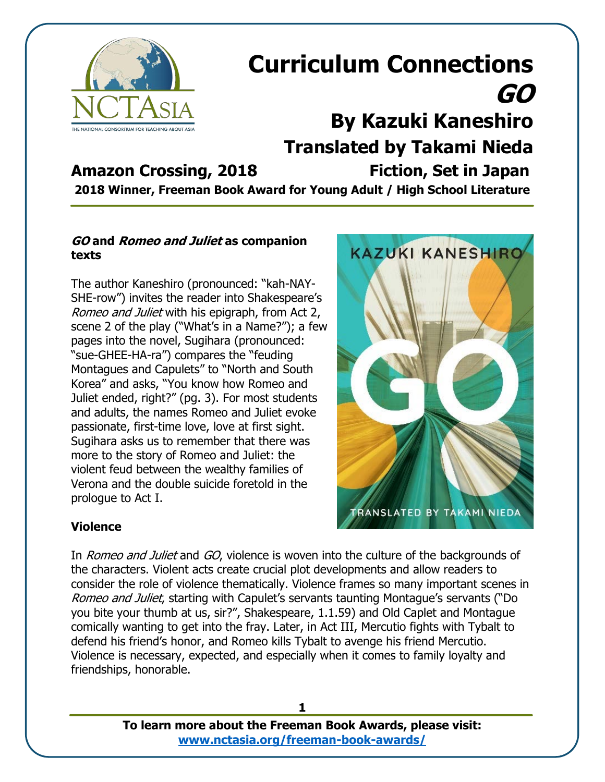

## **Curriculum Connections GO By Kazuki Kaneshiro Translated by Takami Nieda Amazon Crossing, 2018 Fiction, Set in Japan**

**2018 Winner, Freeman Book Award for Young Adult / High School Literature**

#### **GO and Romeo and Juliet as companion texts**

The author Kaneshiro (pronounced: "kah-NAY-SHE-row") invites the reader into Shakespeare's Romeo and Juliet with his epigraph, from Act 2, scene 2 of the play ("What's in a Name?"); a few pages into the novel, Sugihara (pronounced: "sue-GHEE-HA-ra") compares the "feuding Montagues and Capulets" to "North and South Korea" and asks, "You know how Romeo and Juliet ended, right?" (pg. 3). For most students and adults, the names Romeo and Juliet evoke passionate, first-time love, love at first sight. Sugihara asks us to remember that there was more to the story of Romeo and Juliet: the violent feud between the wealthy families of Verona and the double suicide foretold in the prologue to Act I.



### **Violence**

In *Romeo and Juliet* and GO, violence is woven into the culture of the backgrounds of the characters. Violent acts create crucial plot developments and allow readers to consider the role of violence thematically. Violence frames so many important scenes in Romeo and Juliet, starting with Capulet's servants taunting Montague's servants ("Do you bite your thumb at us, sir?", Shakespeare, 1.1.59) and Old Caplet and Montague comically wanting to get into the fray. Later, in Act III, Mercutio fights with Tybalt to defend his friend's honor, and Romeo kills Tybalt to avenge his friend Mercutio. Violence is necessary, expected, and especially when it comes to family loyalty and friendships, honorable.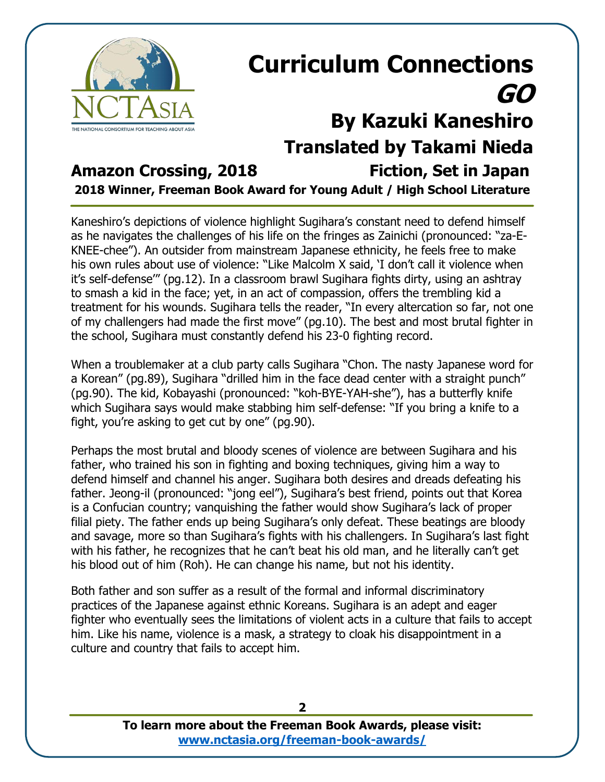

## **Curriculum Connections GO By Kazuki Kaneshiro Translated by Takami Nieda Amazon Crossing, 2018 Fiction, Set in Japan**

**2018 Winner, Freeman Book Award for Young Adult / High School Literature**

Kaneshiro's depictions of violence highlight Sugihara's constant need to defend himself as he navigates the challenges of his life on the fringes as Zainichi (pronounced: "za-E-KNEE-chee"). An outsider from mainstream Japanese ethnicity, he feels free to make his own rules about use of violence: "Like Malcolm X said, 'I don't call it violence when it's self-defense'" (pg.12). In a classroom brawl Sugihara fights dirty, using an ashtray to smash a kid in the face; yet, in an act of compassion, offers the trembling kid a treatment for his wounds. Sugihara tells the reader, "In every altercation so far, not one of my challengers had made the first move" (pg.10). The best and most brutal fighter in the school, Sugihara must constantly defend his 23-0 fighting record.

When a troublemaker at a club party calls Sugihara "Chon. The nasty Japanese word for a Korean" (pg.89), Sugihara "drilled him in the face dead center with a straight punch" (pg.90). The kid, Kobayashi (pronounced: "koh-BYE-YAH-she"), has a butterfly knife which Sugihara says would make stabbing him self-defense: "If you bring a knife to a fight, you're asking to get cut by one" (pg.90).

Perhaps the most brutal and bloody scenes of violence are between Sugihara and his father, who trained his son in fighting and boxing techniques, giving him a way to defend himself and channel his anger. Sugihara both desires and dreads defeating his father. Jeong-il (pronounced: "jong eel"), Sugihara's best friend, points out that Korea is a Confucian country; vanquishing the father would show Sugihara's lack of proper filial piety. The father ends up being Sugihara's only defeat. These beatings are bloody and savage, more so than Sugihara's fights with his challengers. In Sugihara's last fight with his father, he recognizes that he can't beat his old man, and he literally can't get his blood out of him (Roh). He can change his name, but not his identity.

Both father and son suffer as a result of the formal and informal discriminatory practices of the Japanese against ethnic Koreans. Sugihara is an adept and eager fighter who eventually sees the limitations of violent acts in a culture that fails to accept him. Like his name, violence is a mask, a strategy to cloak his disappointment in a culture and country that fails to accept him.

**2**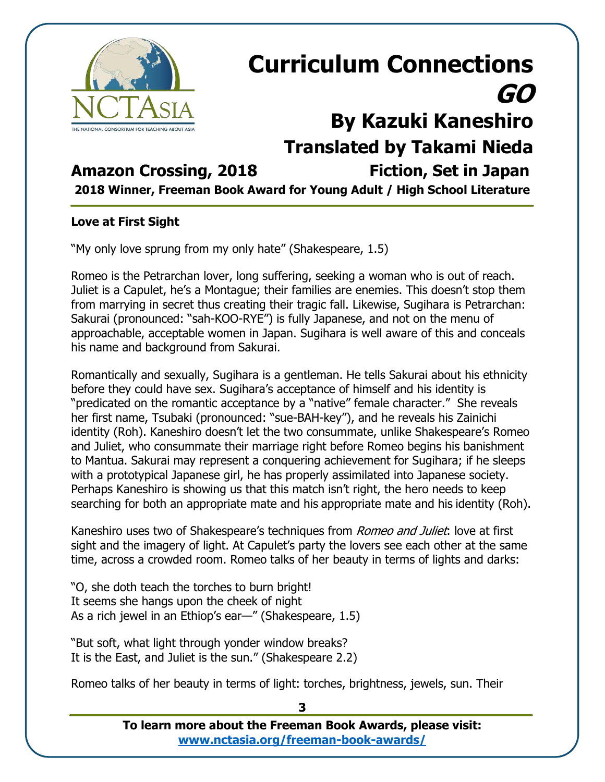

# **Curriculum Connections GO By Kazuki Kaneshiro**

**Translated by Takami Nieda**

### **Amazon Crossing, 2018 Fiction, Set in Japan**

**2018 Winner, Freeman Book Award for Young Adult / High School Literature**

### **Love at First Sight**

"My only love sprung from my only hate" (Shakespeare, 1.5)

Romeo is the Petrarchan lover, long suffering, seeking a woman who is out of reach. Juliet is a Capulet, he's a Montague; their families are enemies. This doesn't stop them from marrying in secret thus creating their tragic fall. Likewise, Sugihara is Petrarchan: Sakurai (pronounced: "sah-KOO-RYE") is fully Japanese, and not on the menu of approachable, acceptable women in Japan. Sugihara is well aware of this and conceals his name and background from Sakurai.

Romantically and sexually, Sugihara is a gentleman. He tells Sakurai about his ethnicity before they could have sex. Sugihara's acceptance of himself and his identity is "predicated on the romantic acceptance by a "native" female character." She reveals her first name, Tsubaki (pronounced: "sue-BAH-key"), and he reveals his Zainichi identity (Roh). Kaneshiro doesn't let the two consummate, unlike Shakespeare's Romeo and Juliet, who consummate their marriage right before Romeo begins his banishment to Mantua. Sakurai may represent a conquering achievement for Sugihara; if he sleeps with a prototypical Japanese girl, he has properly assimilated into Japanese society. Perhaps Kaneshiro is showing us that this match isn't right, the hero needs to keep searching for both an appropriate mate and his appropriate mate and his identity (Roh).

Kaneshiro uses two of Shakespeare's techniques from *Romeo and Juliet*: love at first sight and the imagery of light. At Capulet's party the lovers see each other at the same time, across a crowded room. Romeo talks of her beauty in terms of lights and darks:

"O, she doth teach the torches to burn bright! It seems she hangs upon the cheek of night As a rich jewel in an Ethiop's ear—" (Shakespeare, 1.5)

"But soft, what light through yonder window breaks? It is the East, and Juliet is the sun." (Shakespeare 2.2)

Romeo talks of her beauty in terms of light: torches, brightness, jewels, sun. Their

**To learn more about the Freeman Book Awards, please visit: [www.nctasia.org/freeman-book-awards/](https://nctasia.org/freeman-book-awards/)**

**3**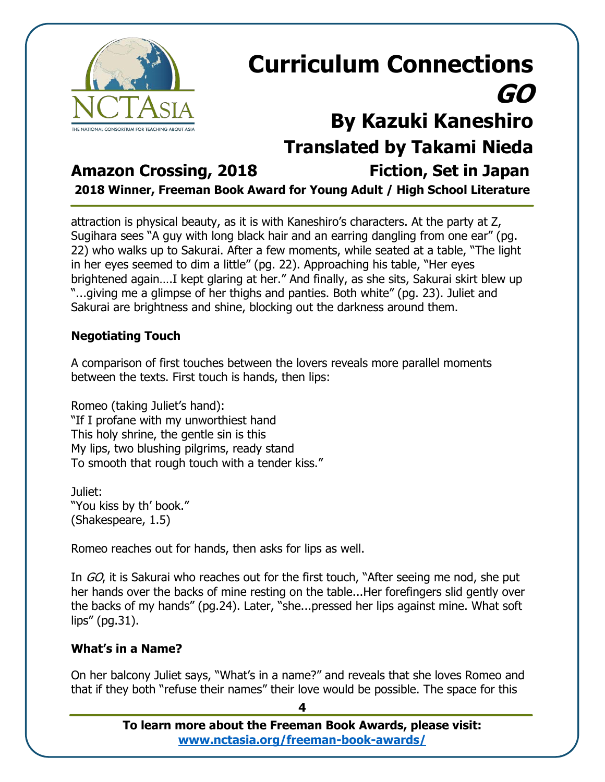

# **Curriculum Connections GO By Kazuki Kaneshiro Translated by Takami Nieda**

### **Amazon Crossing, 2018 Fiction, Set in Japan**

**2018 Winner, Freeman Book Award for Young Adult / High School Literature**

attraction is physical beauty, as it is with Kaneshiro's characters. At the party at Z, Sugihara sees "A guy with long black hair and an earring dangling from one ear" (pg. 22) who walks up to Sakurai. After a few moments, while seated at a table, "The light in her eyes seemed to dim a little" (pg. 22). Approaching his table, "Her eyes brightened again….I kept glaring at her." And finally, as she sits, Sakurai skirt blew up "...giving me a glimpse of her thighs and panties. Both white" (pg. 23). Juliet and Sakurai are brightness and shine, blocking out the darkness around them.

### **Negotiating Touch**

A comparison of first touches between the lovers reveals more parallel moments between the texts. First touch is hands, then lips:

Romeo (taking Juliet's hand): "If I profane with my unworthiest hand This holy shrine, the gentle sin is this My lips, two blushing pilgrims, ready stand To smooth that rough touch with a tender kiss."

Juliet: "You kiss by th' book." (Shakespeare, 1.5)

Romeo reaches out for hands, then asks for lips as well.

In GO, it is Sakurai who reaches out for the first touch, "After seeing me nod, she put her hands over the backs of mine resting on the table...Her forefingers slid gently over the backs of my hands" (pg.24). Later, "she...pressed her lips against mine. What soft lips" (pg.31).

### **What's in a Name?**

On her balcony Juliet says, "What's in a name?" and reveals that she loves Romeo and that if they both "refuse their names" their love would be possible. The space for this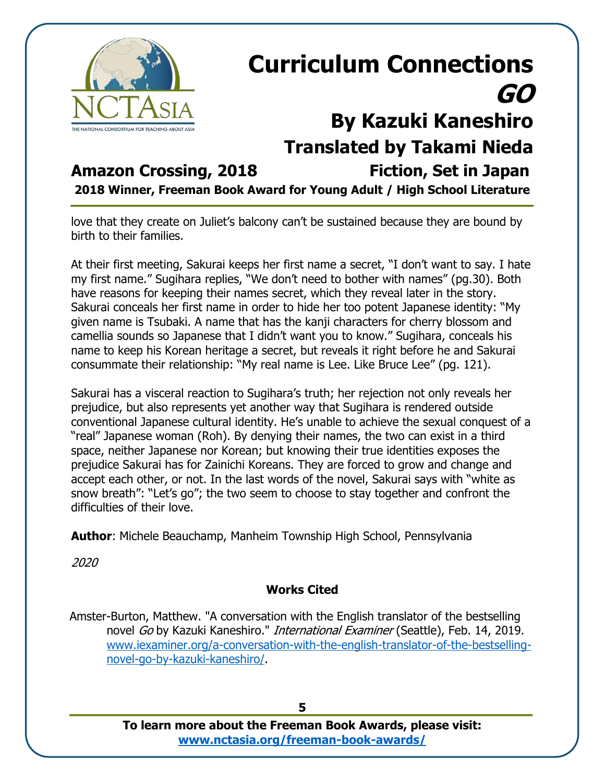

# **Curriculum Connections GO By Kazuki Kaneshiro Translated by Takami Nieda**

### **Amazon Crossing, 2018 Fiction, Set in Japan**

**2018 Winner, Freeman Book Award for Young Adult / High School Literature**

love that they create on Juliet's balcony can't be sustained because they are bound by birth to their families.

At their first meeting, Sakurai keeps her first name a secret, "I don't want to say. I hate my first name." Sugihara replies, "We don't need to bother with names" (pg.30). Both have reasons for keeping their names secret, which they reveal later in the story. Sakurai conceals her first name in order to hide her too potent Japanese identity: "My given name is Tsubaki. A name that has the kanji characters for cherry blossom and camellia sounds so Japanese that I didn't want you to know." Sugihara, conceals his name to keep his Korean heritage a secret, but reveals it right before he and Sakurai consummate their relationship: "My real name is Lee. Like Bruce Lee" (pg. 121).

Sakurai has a visceral reaction to Sugihara's truth; her rejection not only reveals her prejudice, but also represents yet another way that Sugihara is rendered outside conventional Japanese cultural identity. He's unable to achieve the sexual conquest of a "real" Japanese woman (Roh). By denying their names, the two can exist in a third space, neither Japanese nor Korean; but knowing their true identities exposes the prejudice Sakurai has for Zainichi Koreans. They are forced to grow and change and accept each other, or not. In the last words of the novel, Sakurai says with "white as snow breath": "Let's go"; the two seem to choose to stay together and confront the difficulties of their love.

**Author**: Michele Beauchamp, Manheim Township High School, Pennsylvania

2020

### **Works Cited**

Amster-Burton, Matthew. "A conversation with the English translator of the bestselling novel Go by Kazuki Kaneshiro." *International Examiner* (Seattle), Feb. 14, 2019. [www.iexaminer.org/a-conversation-with-the-english-translator-of-the-bestselling](http://www.iexaminer.org/a-conversation-with-the-english-translator-of-the-bestselling-novel-go-by-kazuki-kaneshiro/)[novel-go-by-kazuki-kaneshiro/.](http://www.iexaminer.org/a-conversation-with-the-english-translator-of-the-bestselling-novel-go-by-kazuki-kaneshiro/)

**5**